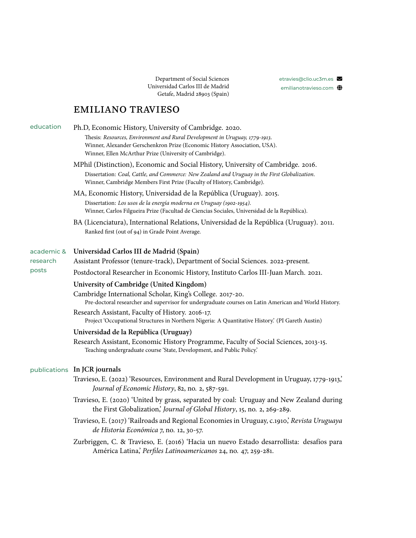Department of Social Sciences Universidad Carlos III de Madrid Getafe, Madrid 28903 (Spain)

## [etravies@clio.uc3m.es](mailto:etravies@clio.uc3m.es)  $\blacktriangleright$ <emilianotravieso.com> (

## EMILIANO TRAVIESO

| education              | Ph.D, Economic History, University of Cambridge. 2020.<br>Thesis: Resources, Environment and Rural Development in Uruguay, 1779-1913.<br>Winner, Alexander Gerschenkron Prize (Economic History Association, USA).<br>Winner, Ellen McArthur Prize (University of Cambridge). |
|------------------------|-------------------------------------------------------------------------------------------------------------------------------------------------------------------------------------------------------------------------------------------------------------------------------|
|                        | MPhil (Distinction), Economic and Social History, University of Cambridge. 2016.<br>Dissertation: Coal, Cattle, and Commerce: New Zealand and Uruguay in the First Globalization.<br>Winner, Cambridge Members First Prize (Faculty of History, Cambridge).                   |
|                        | MA, Economic History, Universidad de la República (Uruguay). 2015.<br>Dissertation: Los usos de la energía moderna en Uruguay (1902-1954).<br>Winner, Carlos Filgueira Prize (Facultad de Ciencias Sociales, Universidad de la República).                                    |
|                        | BA (Licenciatura), International Relations, Universidad de la República (Uruguay). 2011.<br>Ranked first (out of 94) in Grade Point Average.                                                                                                                                  |
| academic &<br>research | Universidad Carlos III de Madrid (Spain)<br>Assistant Professor (tenure-track), Department of Social Sciences. 2022-present.                                                                                                                                                  |
| posts                  | Postdoctoral Researcher in Economic History, Instituto Carlos III-Juan March. 2021.                                                                                                                                                                                           |
|                        | University of Cambridge (United Kingdom)                                                                                                                                                                                                                                      |
|                        | Cambridge International Scholar, King's College. 2017-20.<br>Pre-doctoral researcher and supervisor for undergraduate courses on Latin American and World History.                                                                                                            |
|                        | Research Assistant, Faculty of History. 2016-17.<br>Project 'Occupational Structures in Northern Nigeria: A Quantitative History' (PI Gareth Austin)                                                                                                                          |
|                        | Universidad de la República (Uruguay)                                                                                                                                                                                                                                         |
|                        | Research Assistant, Economic History Programme, Faculty of Social Sciences, 2013-15.<br>Teaching undergraduate course 'State, Development, and Public Policy'.                                                                                                                |
|                        | publications In JCR journals                                                                                                                                                                                                                                                  |
|                        | Travieso, E. (2022) 'Resources, Environment and Rural Development in Uruguay, 1779-1913,<br>Journal of Economic History, 82, no. 2, 587-591.                                                                                                                                  |
|                        | Travieso, E. (2020) 'United by grass, separated by coal: Uruguay and New Zealand during<br>the First Globalization,' Journal of Global History, 15, no. 2, 269-289.                                                                                                           |
|                        | Travieso, E. (2017) 'Railroads and Regional Economies in Uruguay, c.1910,' Revista Uruguaya<br>de Historia Económica 7, no. 12, 30-57.                                                                                                                                        |
|                        | Zurbriggen, C. & Travieso, E. (2016) 'Hacia un nuevo Estado desarrollista: desafíos para<br>América Latina, Perfiles Latinoamericanos 24, no. 47, 259-281.                                                                                                                    |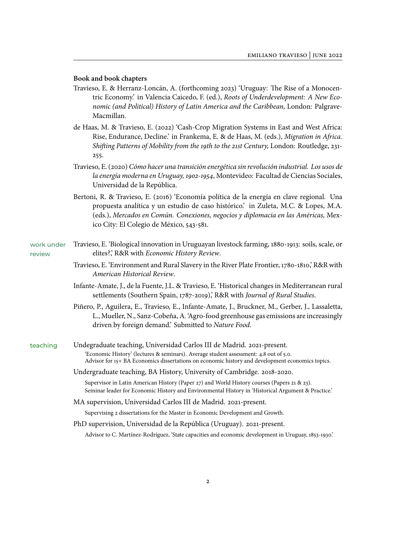## **Book and book chapters**

- Travieso, E. & Herranz-Loncán, A. (forthcoming 2023) 'Uruguay: The Rise of a Monocentric Economy.' in Valencia Caicedo, F. (ed.), *Roots of Underdevelopment: A New Economic (and Political) History of Latin America and the Caribbean,* London: Palgrave-Macmillan.
- de Haas, M. & Travieso, E. (2022) 'Cash-Crop Migration Systems in East and West Africa: Rise, Endurance, Decline.' in Frankema, E. & de Haas, M. (eds.), *Migration in Africa. Shifting Patterns of Mobility from the 19th to the 21st Century,* London: Routledge, 231- 255.
- Travieso, E. (2020) *Cómo hacer una transición energética sin revolución industrial. Los usos de la energía moderna en Uruguay, 1902-1954*, Montevideo: Facultad de Ciencias Sociales, Universidad de la República.
- Bertoni, R. & Travieso, E. (2016) 'Economía política de la energía en clave regional. Una propuesta analítica y un estudio de caso histórico.' in Zuleta, M.C. & Lopes, M.A. (eds.), *Mercados en Común. Conexiones, negocios y diplomacia en las Américas,* Mexico City: El Colegio de México, 543-581.
- work under review Travieso, E. 'Biological innovation in Uruguayan livestock farming, 1880-1913: soils, scale, or elites?,' R&R with *Economic History Review*.
	- Travieso, E. 'Environment and Rural Slavery in the River Plate Frontier, 1780-1810,' R&R with *American Historical Review*.
	- Infante-Amate, J., de la Fuente, J.L. & Travieso, E. 'Historical changes in Mediterranean rural settlements (Southern Spain, 1787-2019),' R&R with *Journal of Rural Studies*.
	- Piñero, P., Aguilera, E., Travieso, E., Infante-Amate, J., Bruckner, M., Gerber, J., Lassaletta, L., Mueller, N., Sanz-Cobeña, A. 'Agro-food greenhouse gas emissions are increasingly driven by foreign demand.' Submitted to *Nature Food*.
- teaching Undegraduate teaching, Universidad Carlos III de Madrid. 2021-present. 'Economic History' (lectures & seminars). Average student assessment: 4.8 out of 5.0. Advisor for 15+ BA Economics dissertations on economic history and development economics topics.
	- Undergraduate teaching, BA History, University of Cambridge. 2018-2020. Supervisor in Latin American History (Paper 27) and World History courses (Papers 21 & 23). Seminar leader for Economic History and Environmental History in 'Historical Argument & Practice.'
	- MA supervision, Universidad Carlos III de Madrid. 2021-present. Supervising 2 dissertations for the Master in Economic Development and Growth.
	- PhD supervision, Universidad de la República (Uruguay). 2021-present. Advisor to C. Martínez-Rodríguez, 'State capacities and economic development in Uruguay, 1853-1930.'